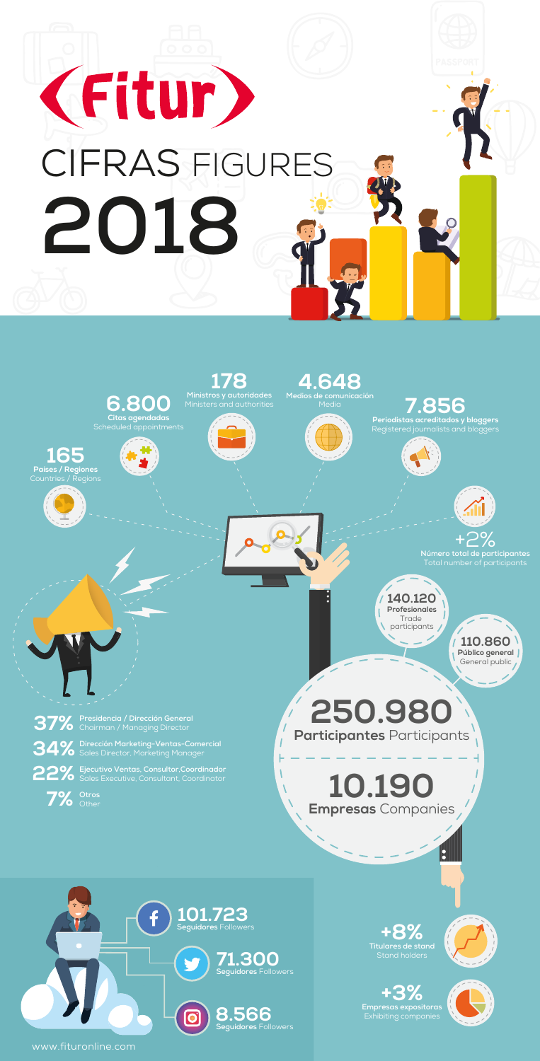

www.fituronline.com